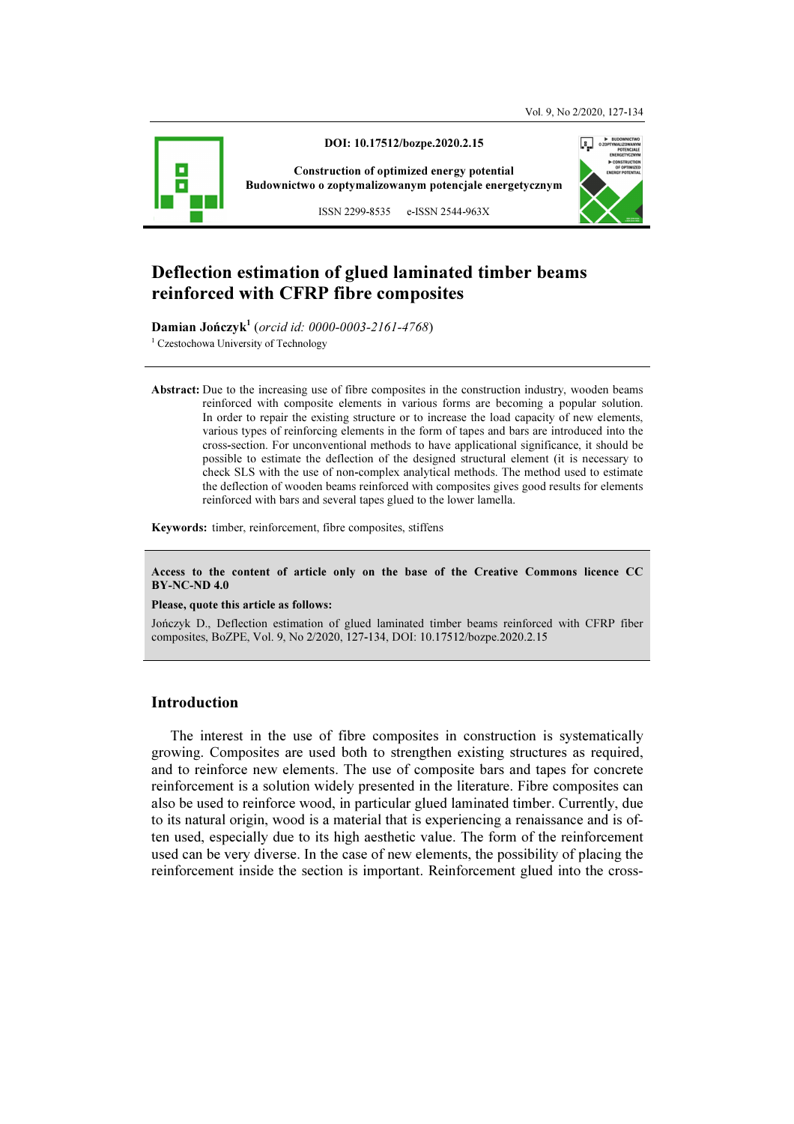

# Deflection estimation of glued laminated timber beams reinforced with CFRP fibre composites

Damian Jończyk<sup>1</sup> (orcid id: 0000-0003-2161-4768) <sup>1</sup> Czestochowa University of Technology

Abstract: Due to the increasing use of fibre composites in the construction industry, wooden beams reinforced with composite elements in various forms are becoming a popular solution. In order to repair the existing structure or to increase the load capacity of new elements, various types of reinforcing elements in the form of tapes and bars are introduced into the cross-section. For unconventional methods to have applicational significance, it should be possible to estimate the deflection of the designed structural element (it is necessary to check SLS with the use of non-complex analytical methods. The method used to estimate the deflection of wooden beams reinforced with composites gives good results for elements reinforced with bars and several tapes glued to the lower lamella.

Keywords: timber, reinforcement, fibre composites, stiffens

Access to the content of article only on the base of the Creative Commons licence CC BY-NC-ND 4.0

#### Please, quote this article as follows:

Jończyk D., Deflection estimation of glued laminated timber beams reinforced with CFRP fiber composites, BoZPE, Vol. 9, No 2/2020, 127-134, DOI: 10.17512/bozpe.2020.2.15

### Introduction

The interest in the use of fibre composites in construction is systematically growing. Composites are used both to strengthen existing structures as required, and to reinforce new elements. The use of composite bars and tapes for concrete reinforcement is a solution widely presented in the literature. Fibre composites can also be used to reinforce wood, in particular glued laminated timber. Currently, due to its natural origin, wood is a material that is experiencing a renaissance and is often used, especially due to its high aesthetic value. The form of the reinforcement used can be very diverse. In the case of new elements, the possibility of placing the reinforcement inside the section is important. Reinforcement glued into the cross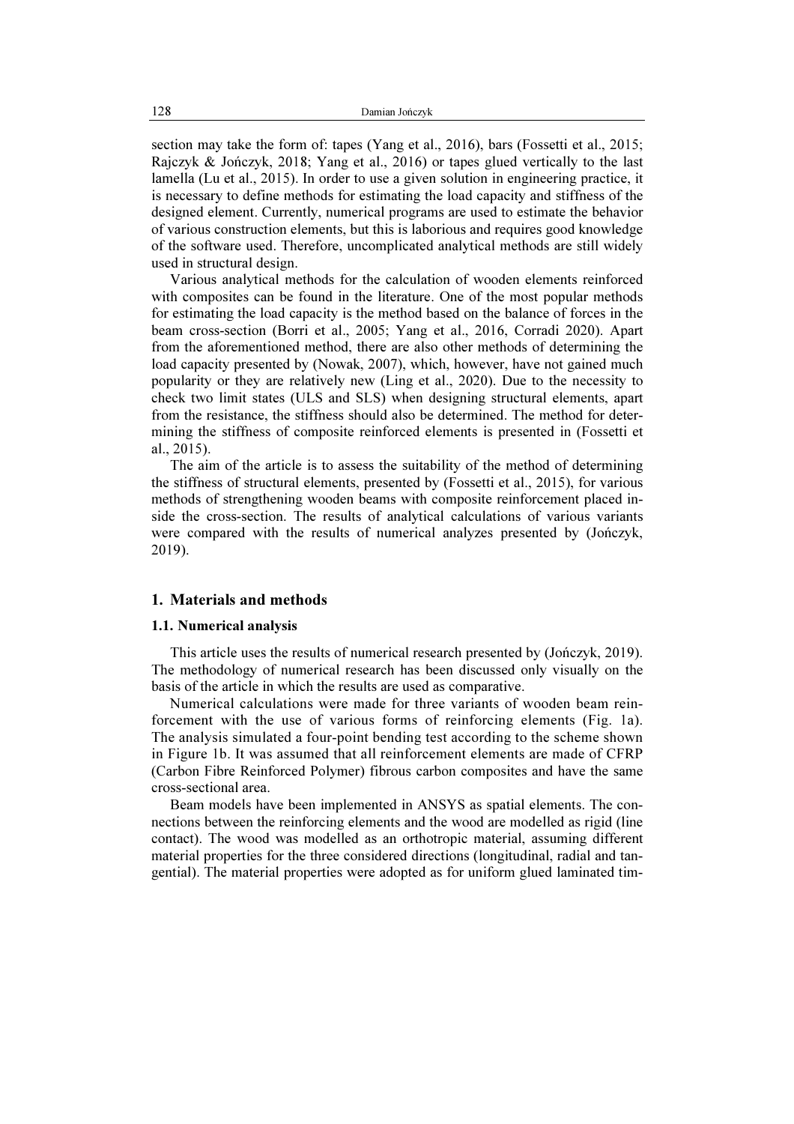section may take the form of: tapes (Yang et al., 2016), bars (Fossetti et al., 2015; Rajczyk & Jończyk, 2018; Yang et al., 2016) or tapes glued vertically to the last lamella (Lu et al., 2015). In order to use a given solution in engineering practice, it is necessary to define methods for estimating the load capacity and stiffness of the designed element. Currently, numerical programs are used to estimate the behavior of various construction elements, but this is laborious and requires good knowledge of the software used. Therefore, uncomplicated analytical methods are still widely used in structural design.

Various analytical methods for the calculation of wooden elements reinforced with composites can be found in the literature. One of the most popular methods for estimating the load capacity is the method based on the balance of forces in the beam cross-section (Borri et al., 2005; Yang et al., 2016, Corradi 2020). Apart from the aforementioned method, there are also other methods of determining the load capacity presented by (Nowak, 2007), which, however, have not gained much popularity or they are relatively new (Ling et al., 2020). Due to the necessity to check two limit states (ULS and SLS) when designing structural elements, apart from the resistance, the stiffness should also be determined. The method for determining the stiffness of composite reinforced elements is presented in (Fossetti et al., 2015).

The aim of the article is to assess the suitability of the method of determining the stiffness of structural elements, presented by (Fossetti et al., 2015), for various methods of strengthening wooden beams with composite reinforcement placed inside the cross-section. The results of analytical calculations of various variants were compared with the results of numerical analyzes presented by (Jończyk, 2019).

## 1. Materials and methods

#### 1.1. Numerical analysis

This article uses the results of numerical research presented by (Jończyk, 2019). The methodology of numerical research has been discussed only visually on the basis of the article in which the results are used as comparative.

Numerical calculations were made for three variants of wooden beam reinforcement with the use of various forms of reinforcing elements (Fig. 1a). The analysis simulated a four-point bending test according to the scheme shown in Figure 1b. It was assumed that all reinforcement elements are made of CFRP (Carbon Fibre Reinforced Polymer) fibrous carbon composites and have the same cross-sectional area.

Beam models have been implemented in ANSYS as spatial elements. The connections between the reinforcing elements and the wood are modelled as rigid (line contact). The wood was modelled as an orthotropic material, assuming different material properties for the three considered directions (longitudinal, radial and tangential). The material properties were adopted as for uniform glued laminated tim-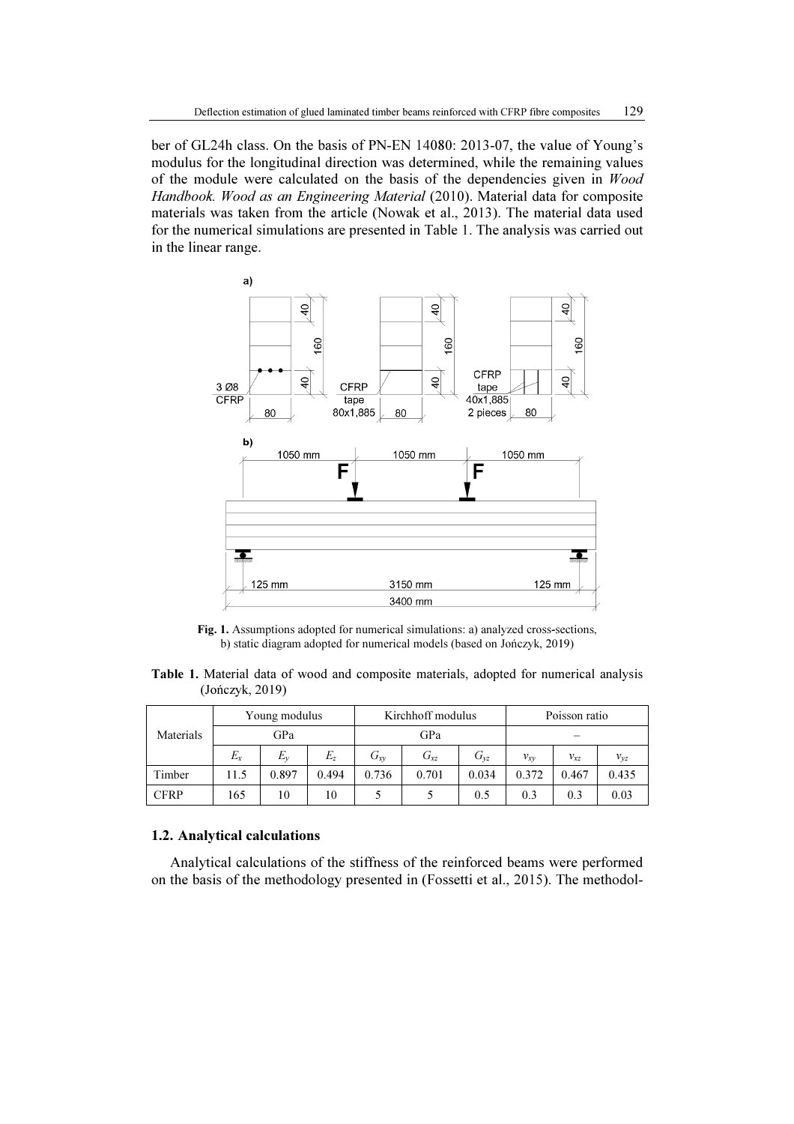ber of GL24h class. On the basis of PN-EN 14080: 2013-07, the value of Young's modulus for the longitudinal direction was determined, while the remaining values of the module were calculated on the basis of the dependencies given in Wood Handbook. Wood as an Engineering Material (2010). Material data for composite materials was taken from the article (Nowak et al., 2013). The material data used for the numerical simulations are presented in Table 1. The analysis was carried out in the linear range.



Fig. 1. Assumptions adopted for numerical simulations: a) analyzed cross-sections, b) static diagram adopted for numerical models (based on Jończyk, 2019)

Table 1. Material data of wood and composite materials, adopted for numerical analysis (Jończyk, 2019)

|           | Young modulus |       |       | Kirchhoff modulus |          |          | Poisson ratio |          |          |
|-----------|---------------|-------|-------|-------------------|----------|----------|---------------|----------|----------|
| Materials | GPa           |       |       | GPa               |          |          |               |          |          |
|           | $E_x$         | $E_v$ | $E_z$ | $G_{xy}$          | $G_{xz}$ | $G_{vz}$ | $v_{xy}$      | $v_{xz}$ | $v_{yz}$ |
| Timber    | 11.5          | 0.897 | 0.494 | 0.736             | 0.701    | 0.034    | 0.372         | 0.467    | 0.435    |
| CFRP      | 165           | 10    | 10    |                   |          | 0.5      | 0.3           | 0.3      | 0.03     |

### 1.2. Analytical calculations

Analytical calculations of the stiffness of the reinforced beams were performed on the basis of the methodology presented in (Fossetti et al., 2015). The methodol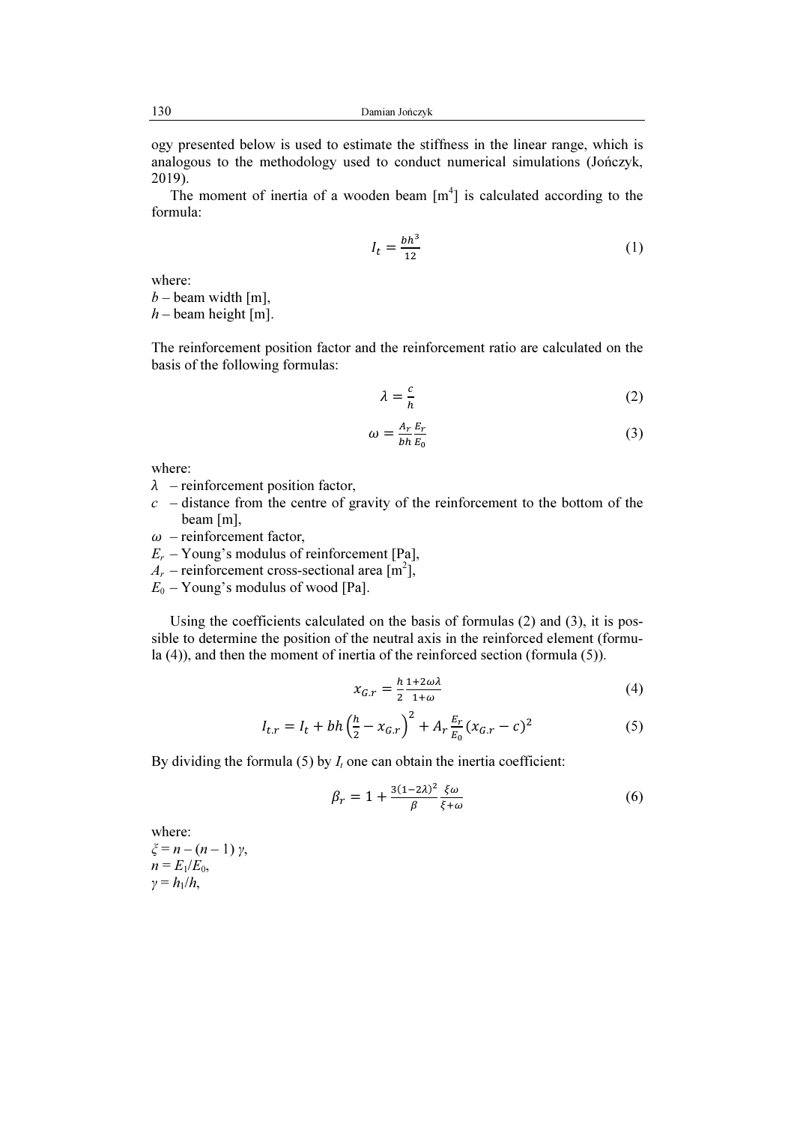ogy presented below is used to estimate the stiffness in the linear range, which is analogous to the methodology used to conduct numerical simulations (Jończyk, 2019).

The moment of inertia of a wooden beam  $[m<sup>4</sup>]$  is calculated according to the formula:

$$
I_t = \frac{bh^3}{12} \tag{1}
$$

where:

 $b$  – beam width [m],  $h$  – beam height [m].

The reinforcement position factor and the reinforcement ratio are calculated on the basis of the following formulas:

$$
\lambda = \frac{c}{h} \tag{2}
$$

$$
\omega = \frac{A_r}{bh} \frac{E_r}{E_0} \tag{3}
$$

where:

- $\lambda$  reinforcement position factor,
- $c$  distance from the centre of gravity of the reinforcement to the bottom of the beam [m],
- $\omega$  reinforcement factor,
- $E_r$  Young's modulus of reinforcement [Pa],
- $A_r$  reinforcement cross-sectional area  $\left[\text{m}^2\right]$ ,
- $E_0$  Young's modulus of wood [Pa].

Using the coefficients calculated on the basis of formulas (2) and (3), it is possible to determine the position of the neutral axis in the reinforced element (formula (4)), and then the moment of inertia of the reinforced section (formula (5)).

$$
x_{G,r} = \frac{h}{2} \frac{1 + 2\omega\lambda}{1 + \omega} \tag{4}
$$

$$
I_{t,r} = I_t + bh\left(\frac{h}{2} - x_{G,r}\right)^2 + A_r \frac{E_r}{E_0} (x_{G,r} - c)^2
$$
 (5)

By dividing the formula (5) by  $I_t$  one can obtain the inertia coefficient:

$$
\beta_r = 1 + \frac{3(1-2\lambda)^2}{\beta} \frac{\xi \omega}{\xi + \omega} \tag{6}
$$

where:  $ξ = n - (n - 1) γ,$  $n = E_1/E_0$ ,  $\gamma = h_1/h$ ,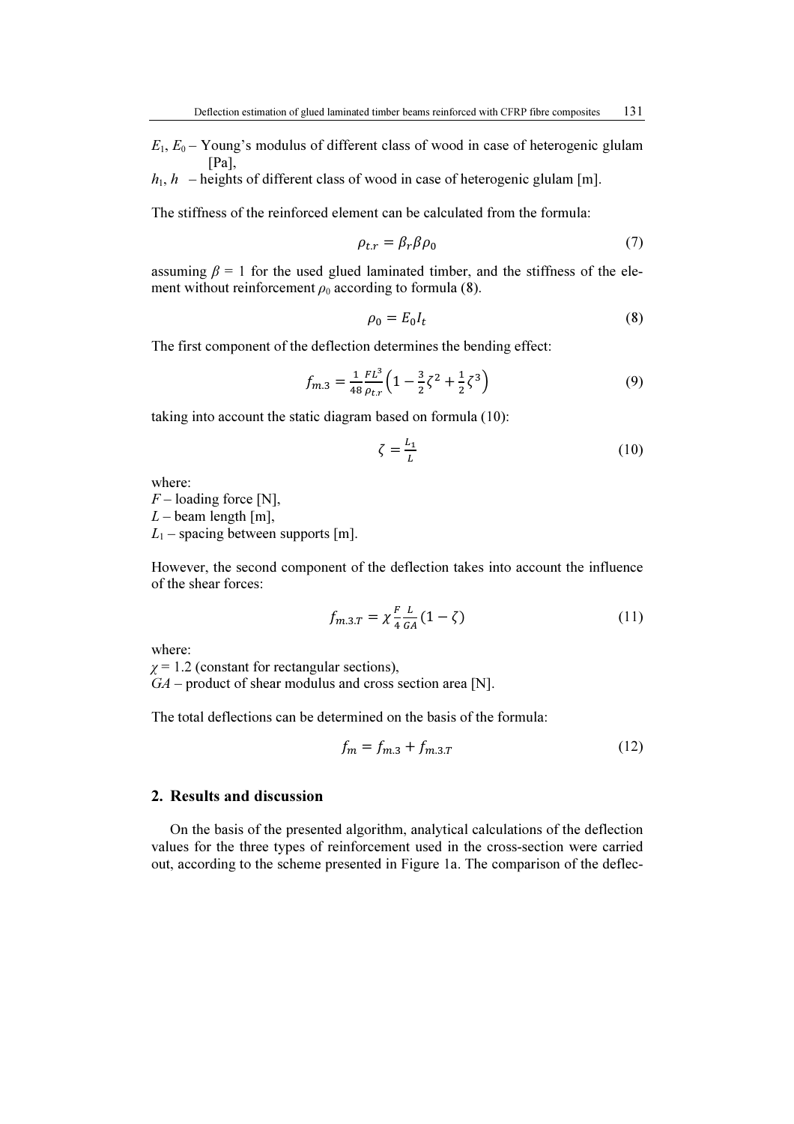$E_1, E_0$  – Young's modulus of different class of wood in case of heterogenic glulam [Pa],

 $h_1$ ,  $h$  – heights of different class of wood in case of heterogenic glulam [m].

The stiffness of the reinforced element can be calculated from the formula:

$$
\rho_{t,r} = \beta_r \beta \rho_0 \tag{7}
$$

assuming  $\beta = 1$  for the used glued laminated timber, and the stiffness of the element without reinforcement  $\rho_0$  according to formula (8).

$$
\rho_0 = E_0 I_t \tag{8}
$$

The first component of the deflection determines the bending effect:

$$
f_{m.3} = \frac{1}{48} \frac{FL^3}{\rho_{tx}} \left( 1 - \frac{3}{2} \zeta^2 + \frac{1}{2} \zeta^3 \right) \tag{9}
$$

taking into account the static diagram based on formula (10):

$$
\zeta = \frac{L_1}{L} \tag{10}
$$

where:

 $F$  – loading force [N],  $L$  – beam length [m],

 $L_1$  – spacing between supports [m].

However, the second component of the deflection takes into account the influence of the shear forces:

$$
f_{m,3,T} = \chi \frac{F}{4} \frac{L}{G_A} (1 - \zeta)
$$
 (11)

where:

 $\gamma$  = 1.2 (constant for rectangular sections),  $GA$  – product of shear modulus and cross section area [N].

The total deflections can be determined on the basis of the formula:

$$
f_m = f_{m,3} + f_{m,3,T} \tag{12}
$$

### 2. Results and discussion

On the basis of the presented algorithm, analytical calculations of the deflection values for the three types of reinforcement used in the cross-section were carried out, according to the scheme presented in Figure 1a. The comparison of the deflec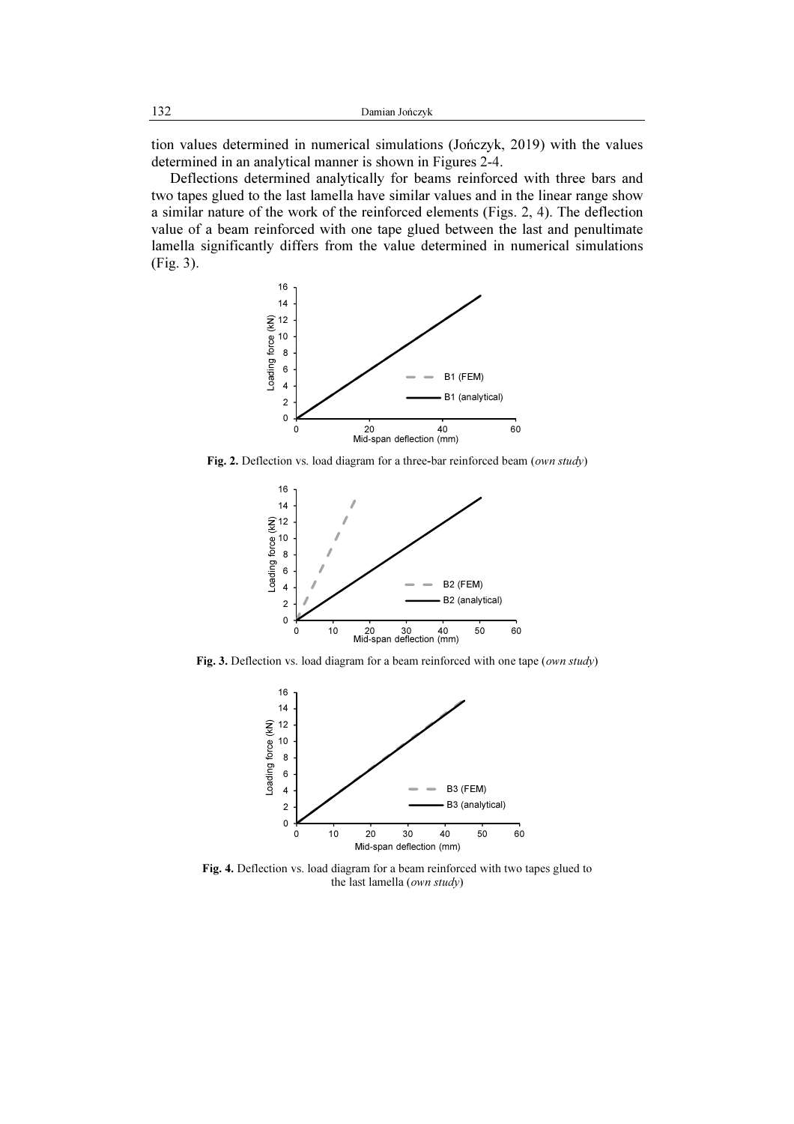tion values determined in numerical simulations (Jończyk, 2019) with the values determined in an analytical manner is shown in Figures 2-4.

Deflections determined analytically for beams reinforced with three bars and two tapes glued to the last lamella have similar values and in the linear range show a similar nature of the work of the reinforced elements (Figs. 2, 4). The deflection value of a beam reinforced with one tape glued between the last and penultimate lamella significantly differs from the value determined in numerical simulations (Fig. 3).



Fig. 2. Deflection vs. load diagram for a three-bar reinforced beam (own study)



Fig. 3. Deflection vs. load diagram for a beam reinforced with one tape (own study)



Fig. 4. Deflection vs. load diagram for a beam reinforced with two tapes glued to the last lamella (own study)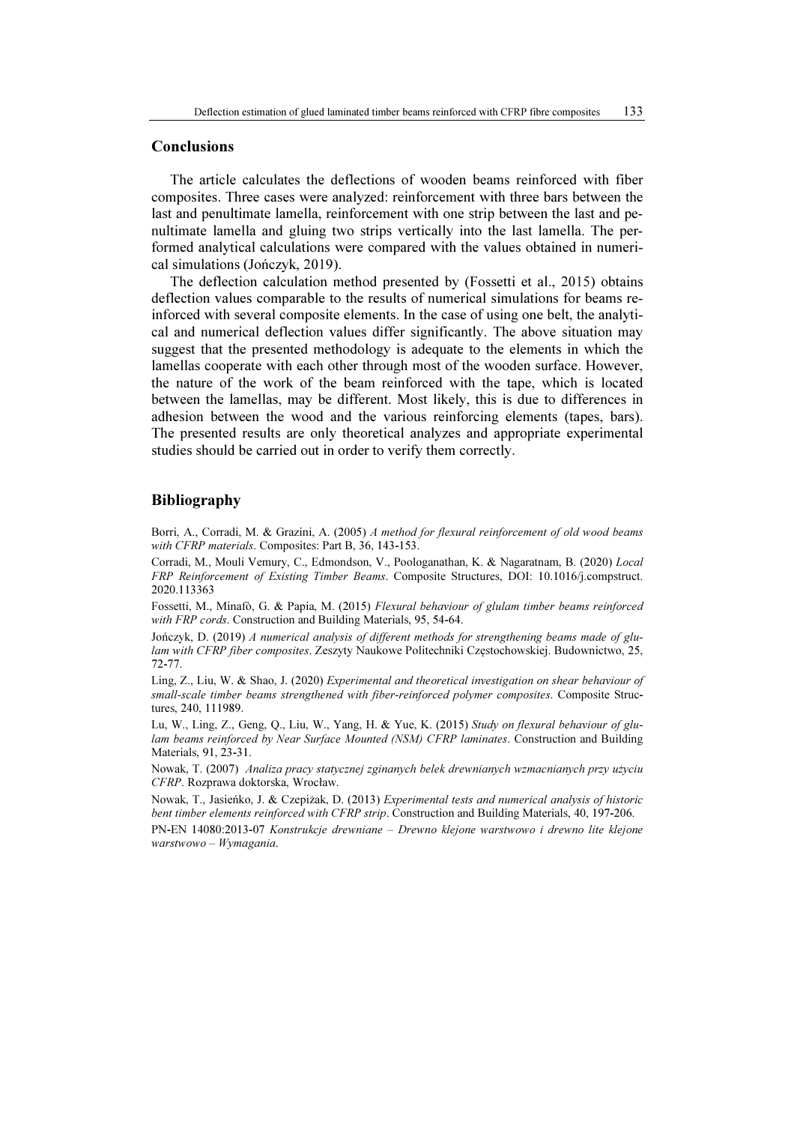### **Conclusions**

The article calculates the deflections of wooden beams reinforced with fiber composites. Three cases were analyzed: reinforcement with three bars between the last and penultimate lamella, reinforcement with one strip between the last and penultimate lamella and gluing two strips vertically into the last lamella. The performed analytical calculations were compared with the values obtained in numerical simulations (Jończyk, 2019).

The deflection calculation method presented by (Fossetti et al., 2015) obtains deflection values comparable to the results of numerical simulations for beams reinforced with several composite elements. In the case of using one belt, the analytical and numerical deflection values differ significantly. The above situation may suggest that the presented methodology is adequate to the elements in which the lamellas cooperate with each other through most of the wooden surface. However, the nature of the work of the beam reinforced with the tape, which is located between the lamellas, may be different. Most likely, this is due to differences in adhesion between the wood and the various reinforcing elements (tapes, bars). The presented results are only theoretical analyzes and appropriate experimental studies should be carried out in order to verify them correctly.

### Bibliography

Borri, A., Corradi, M. & Grazini, A. (2005) A method for flexural reinforcement of old wood beams with CFRP materials. Composites: Part B, 36, 143-153.

Corradi, M., Mouli Vemury, C., Edmondson, V., Poologanathan, K. & Nagaratnam, B. (2020) Local FRP Reinforcement of Existing Timber Beams. Composite Structures, DOI: 10.1016/j.compstruct. 2020.113363

Fossetti, M., Minafò, G. & Papia, M. (2015) Flexural behaviour of glulam timber beams reinforced with FRP cords. Construction and Building Materials, 95, 54-64.

Jończyk, D. (2019) A numerical analysis of different methods for strengthening beams made of glulam with CFRP fiber composites. Zeszyty Naukowe Politechniki Częstochowskiej. Budownictwo, 25, 72-77.

Ling, Z., Liu, W. & Shao, J. (2020) Experimental and theoretical investigation on shear behaviour of small-scale timber beams strengthened with fiber-reinforced polymer composites. Composite Structures, 240, 111989.

Lu, W., Ling, Z., Geng, Q., Liu, W., Yang, H. & Yue, K. (2015) Study on flexural behaviour of glulam beams reinforced by Near Surface Mounted (NSM) CFRP laminates. Construction and Building Materials, 91, 23-31.

Nowak, T. (2007) Analiza pracy statycznej zginanych belek drewnianych wzmacnianych przy użyciu CFRP. Rozprawa doktorska, Wrocław.

Nowak, T., Jasieńko, J. & Czepiżak, D. (2013) Experimental tests and numerical analysis of historic bent timber elements reinforced with CFRP strip. Construction and Building Materials, 40, 197-206.

PN-EN 14080:2013-07 Konstrukcje drewniane – Drewno klejone warstwowo i drewno lite klejone warstwowo – Wymagania.